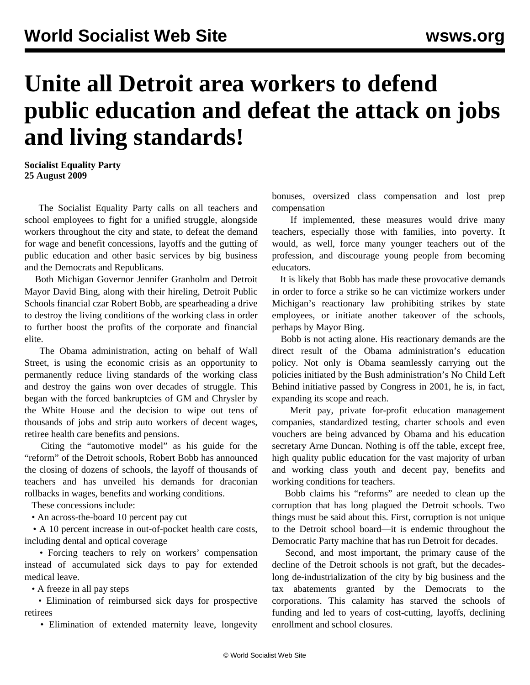# **Unite all Detroit area workers to defend public education and defeat the attack on jobs and living standards!**

**Socialist Equality Party 25 August 2009**

 The Socialist Equality Party calls on all teachers and school employees to fight for a unified struggle, alongside workers throughout the city and state, to defeat the demand for wage and benefit concessions, layoffs and the gutting of public education and other basic services by big business and the Democrats and Republicans.

 Both Michigan Governor Jennifer Granholm and Detroit Mayor David Bing, along with their hireling, Detroit Public Schools financial czar Robert Bobb, are spearheading a drive to destroy the living conditions of the working class in order to further boost the profits of the corporate and financial elite.

 The Obama administration, acting on behalf of Wall Street, is using the economic crisis as an opportunity to permanently reduce living standards of the working class and destroy the gains won over decades of struggle. This began with the forced bankruptcies of GM and Chrysler by the White House and the decision to wipe out tens of thousands of jobs and strip auto workers of decent wages, retiree health care benefits and pensions.

 Citing the "automotive model" as his guide for the "reform" of the Detroit schools, Robert Bobb has announced the closing of dozens of schools, the layoff of thousands of teachers and has unveiled his demands for draconian rollbacks in wages, benefits and working conditions.

These concessions include:

• An across-the-board 10 percent pay cut

 • A 10 percent increase in out-of-pocket health care costs, including dental and optical coverage

 • Forcing teachers to rely on workers' compensation instead of accumulated sick days to pay for extended medical leave.

• A freeze in all pay steps

 • Elimination of reimbursed sick days for prospective retirees

• Elimination of extended maternity leave, longevity

bonuses, oversized class compensation and lost prep compensation

 If implemented, these measures would drive many teachers, especially those with families, into poverty. It would, as well, force many younger teachers out of the profession, and discourage young people from becoming educators.

 It is likely that Bobb has made these provocative demands in order to force a strike so he can victimize workers under Michigan's reactionary law prohibiting strikes by state employees, or initiate another takeover of the schools, perhaps by Mayor Bing.

 Bobb is not acting alone. His reactionary demands are the direct result of the Obama administration's education policy. Not only is Obama seamlessly carrying out the policies initiated by the Bush administration's No Child Left Behind initiative passed by Congress in 2001, he is, in fact, expanding its scope and reach.

 Merit pay, private for-profit education management companies, standardized testing, charter schools and even vouchers are being advanced by Obama and his education secretary Arne Duncan. Nothing is off the table, except free, high quality public education for the vast majority of urban and working class youth and decent pay, benefits and working conditions for teachers.

 Bobb claims his "reforms" are needed to clean up the corruption that has long plagued the Detroit schools. Two things must be said about this. First, corruption is not unique to the Detroit school board—it is endemic throughout the Democratic Party machine that has run Detroit for decades.

 Second, and most important, the primary cause of the decline of the Detroit schools is not graft, but the decadeslong de-industrialization of the city by big business and the tax abatements granted by the Democrats to the corporations. This calamity has starved the schools of funding and led to years of cost-cutting, layoffs, declining enrollment and school closures.